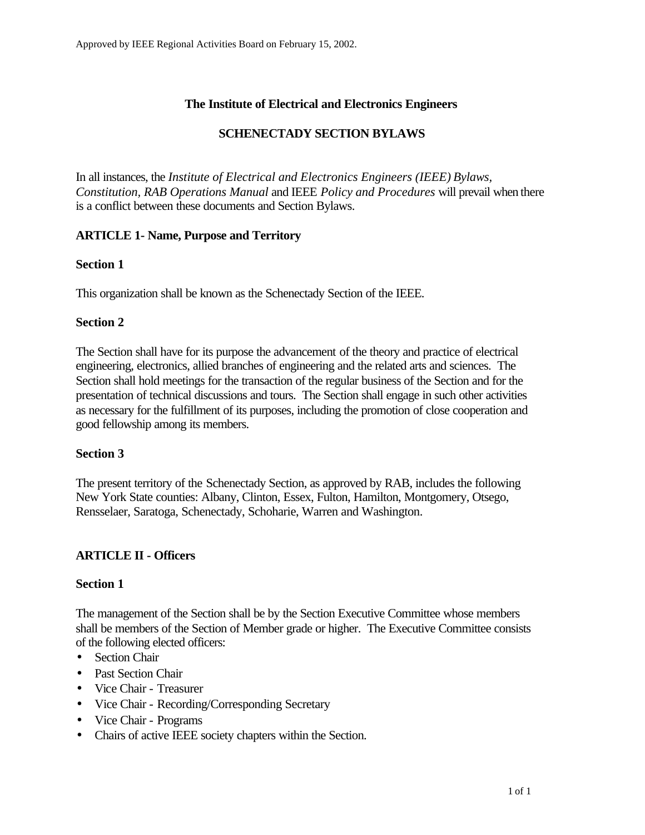### **The Institute of Electrical and Electronics Engineers**

### **SCHENECTADY SECTION BYLAWS**

In all instances, the *Institute of Electrical and Electronics Engineers (IEEE) Bylaws, Constitution, RAB Operations Manual* and IEEE *Policy and Procedures* will prevail when there is a conflict between these documents and Section Bylaws.

#### **ARTICLE 1- Name, Purpose and Territory**

#### **Section 1**

This organization shall be known as the Schenectady Section of the IEEE.

#### **Section 2**

The Section shall have for its purpose the advancement of the theory and practice of electrical engineering, electronics, allied branches of engineering and the related arts and sciences. The Section shall hold meetings for the transaction of the regular business of the Section and for the presentation of technical discussions and tours. The Section shall engage in such other activities as necessary for the fulfillment of its purposes, including the promotion of close cooperation and good fellowship among its members.

#### **Section 3**

The present territory of the Schenectady Section, as approved by RAB, includes the following New York State counties: Albany, Clinton, Essex, Fulton, Hamilton, Montgomery, Otsego, Rensselaer, Saratoga, Schenectady, Schoharie, Warren and Washington.

#### **ARTICLE II - Officers**

#### **Section 1**

The management of the Section shall be by the Section Executive Committee whose members shall be members of the Section of Member grade or higher. The Executive Committee consists of the following elected officers:

- Section Chair
- Past Section Chair
- Vice Chair Treasurer
- Vice Chair Recording/Corresponding Secretary
- Vice Chair Programs
- Chairs of active IEEE society chapters within the Section.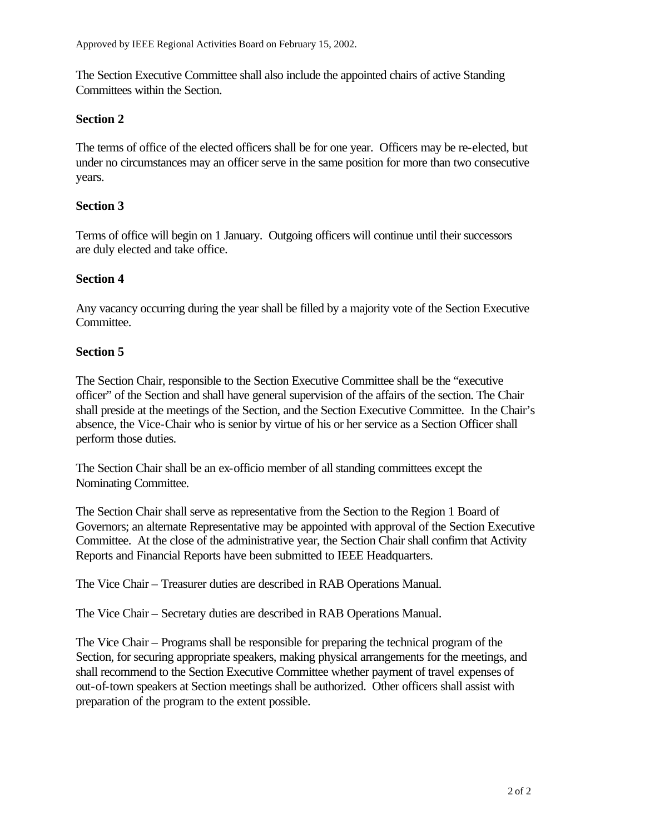The Section Executive Committee shall also include the appointed chairs of active Standing Committees within the Section.

#### **Section 2**

The terms of office of the elected officers shall be for one year. Officers may be re-elected, but under no circumstances may an officer serve in the same position for more than two consecutive years.

# **Section 3**

Terms of office will begin on 1 January. Outgoing officers will continue until their successors are duly elected and take office.

#### **Section 4**

Any vacancy occurring during the year shall be filled by a majority vote of the Section Executive Committee.

#### **Section 5**

The Section Chair, responsible to the Section Executive Committee shall be the "executive officer" of the Section and shall have general supervision of the affairs of the section. The Chair shall preside at the meetings of the Section, and the Section Executive Committee. In the Chair's absence, the Vice-Chair who is senior by virtue of his or her service as a Section Officer shall perform those duties.

The Section Chair shall be an ex-officio member of all standing committees except the Nominating Committee.

The Section Chair shall serve as representative from the Section to the Region 1 Board of Governors; an alternate Representative may be appointed with approval of the Section Executive Committee. At the close of the administrative year, the Section Chair shall confirm that Activity Reports and Financial Reports have been submitted to IEEE Headquarters.

The Vice Chair – Treasurer duties are described in RAB Operations Manual.

The Vice Chair – Secretary duties are described in RAB Operations Manual.

The Vice Chair – Programs shall be responsible for preparing the technical program of the Section, for securing appropriate speakers, making physical arrangements for the meetings, and shall recommend to the Section Executive Committee whether payment of travel expenses of out-of-town speakers at Section meetings shall be authorized. Other officers shall assist with preparation of the program to the extent possible.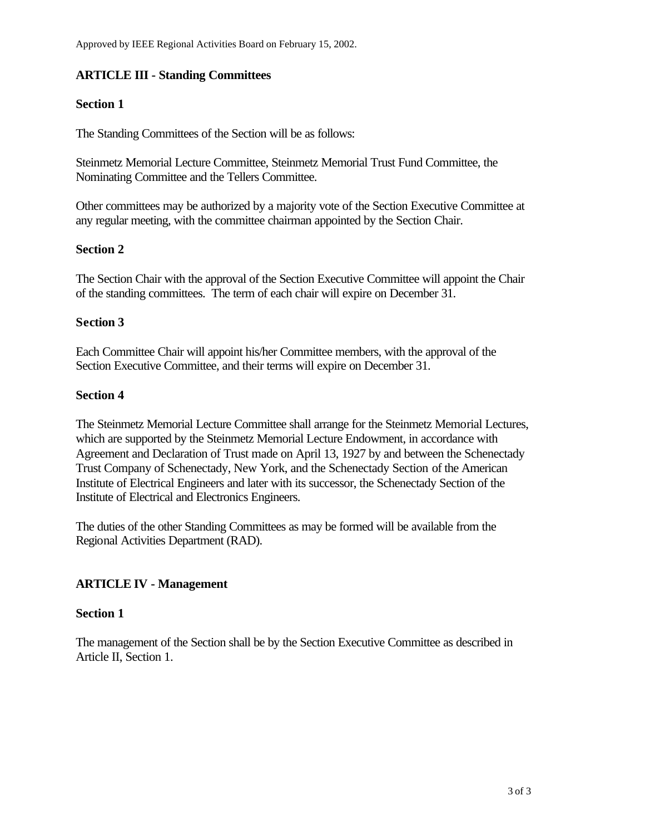# **ARTICLE III - Standing Committees**

### **Section 1**

The Standing Committees of the Section will be as follows:

Steinmetz Memorial Lecture Committee, Steinmetz Memorial Trust Fund Committee, the Nominating Committee and the Tellers Committee.

Other committees may be authorized by a majority vote of the Section Executive Committee at any regular meeting, with the committee chairman appointed by the Section Chair.

#### **Section 2**

The Section Chair with the approval of the Section Executive Committee will appoint the Chair of the standing committees. The term of each chair will expire on December 31.

# **Section 3**

Each Committee Chair will appoint his/her Committee members, with the approval of the Section Executive Committee, and their terms will expire on December 31.

#### **Section 4**

The Steinmetz Memorial Lecture Committee shall arrange for the Steinmetz Memorial Lectures, which are supported by the Steinmetz Memorial Lecture Endowment, in accordance with Agreement and Declaration of Trust made on April 13, 1927 by and between the Schenectady Trust Company of Schenectady, New York, and the Schenectady Section of the American Institute of Electrical Engineers and later with its successor, the Schenectady Section of the Institute of Electrical and Electronics Engineers.

The duties of the other Standing Committees as may be formed will be available from the Regional Activities Department (RAD).

# **ARTICLE IV - Management**

#### **Section 1**

The management of the Section shall be by the Section Executive Committee as described in Article II, Section 1.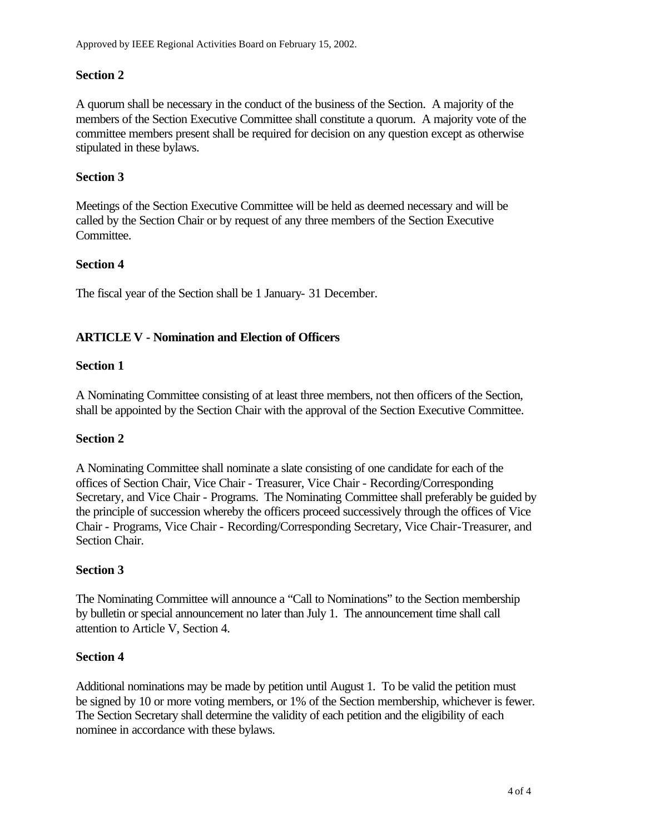### **Section 2**

A quorum shall be necessary in the conduct of the business of the Section. A majority of the members of the Section Executive Committee shall constitute a quorum. A majority vote of the committee members present shall be required for decision on any question except as otherwise stipulated in these bylaws.

### **Section 3**

Meetings of the Section Executive Committee will be held as deemed necessary and will be called by the Section Chair or by request of any three members of the Section Executive Committee.

#### **Section 4**

The fiscal year of the Section shall be 1 January- 31 December.

# **ARTICLE V - Nomination and Election of Officers**

#### **Section 1**

A Nominating Committee consisting of at least three members, not then officers of the Section, shall be appointed by the Section Chair with the approval of the Section Executive Committee.

#### **Section 2**

A Nominating Committee shall nominate a slate consisting of one candidate for each of the offices of Section Chair, Vice Chair - Treasurer, Vice Chair - Recording/Corresponding Secretary, and Vice Chair - Programs. The Nominating Committee shall preferably be guided by the principle of succession whereby the officers proceed successively through the offices of Vice Chair - Programs, Vice Chair - Recording/Corresponding Secretary, Vice Chair-Treasurer, and Section Chair.

#### **Section 3**

The Nominating Committee will announce a "Call to Nominations" to the Section membership by bulletin or special announcement no later than July 1. The announcement time shall call attention to Article V, Section 4.

#### **Section 4**

Additional nominations may be made by petition until August 1. To be valid the petition must be signed by 10 or more voting members, or 1% of the Section membership, whichever is fewer. The Section Secretary shall determine the validity of each petition and the eligibility of each nominee in accordance with these bylaws.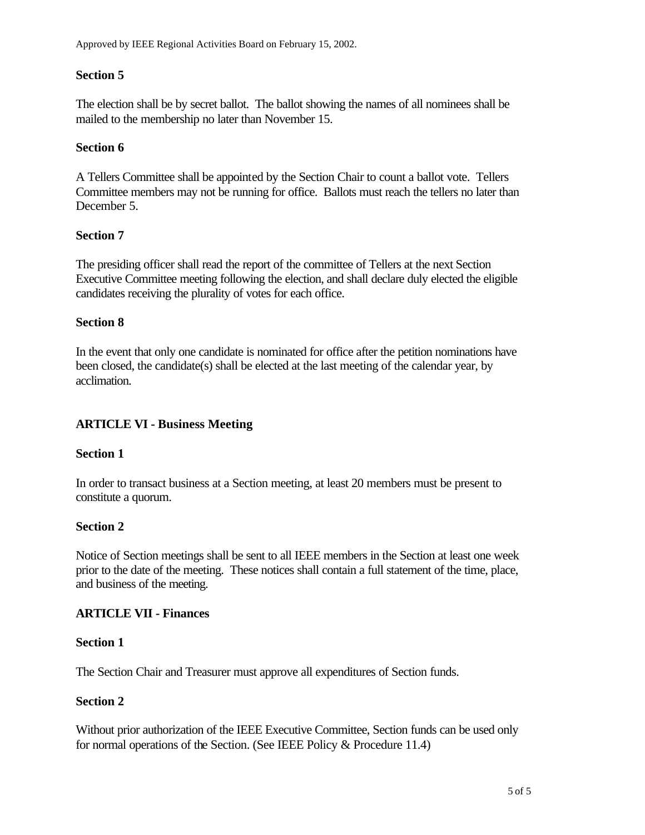### **Section 5**

The election shall be by secret ballot. The ballot showing the names of all nominees shall be mailed to the membership no later than November 15.

#### **Section 6**

A Tellers Committee shall be appointed by the Section Chair to count a ballot vote. Tellers Committee members may not be running for office. Ballots must reach the tellers no later than December 5.

#### **Section 7**

The presiding officer shall read the report of the committee of Tellers at the next Section Executive Committee meeting following the election, and shall declare duly elected the eligible candidates receiving the plurality of votes for each office.

# **Section 8**

In the event that only one candidate is nominated for office after the petition nominations have been closed, the candidate(s) shall be elected at the last meeting of the calendar year, by acclimation.

# **ARTICLE VI - Business Meeting**

#### **Section 1**

In order to transact business at a Section meeting, at least 20 members must be present to constitute a quorum.

#### **Section 2**

Notice of Section meetings shall be sent to all IEEE members in the Section at least one week prior to the date of the meeting. These notices shall contain a full statement of the time, place, and business of the meeting.

#### **ARTICLE VII - Finances**

#### **Section 1**

The Section Chair and Treasurer must approve all expenditures of Section funds.

#### **Section 2**

Without prior authorization of the IEEE Executive Committee, Section funds can be used only for normal operations of the Section. (See IEEE Policy & Procedure 11.4)